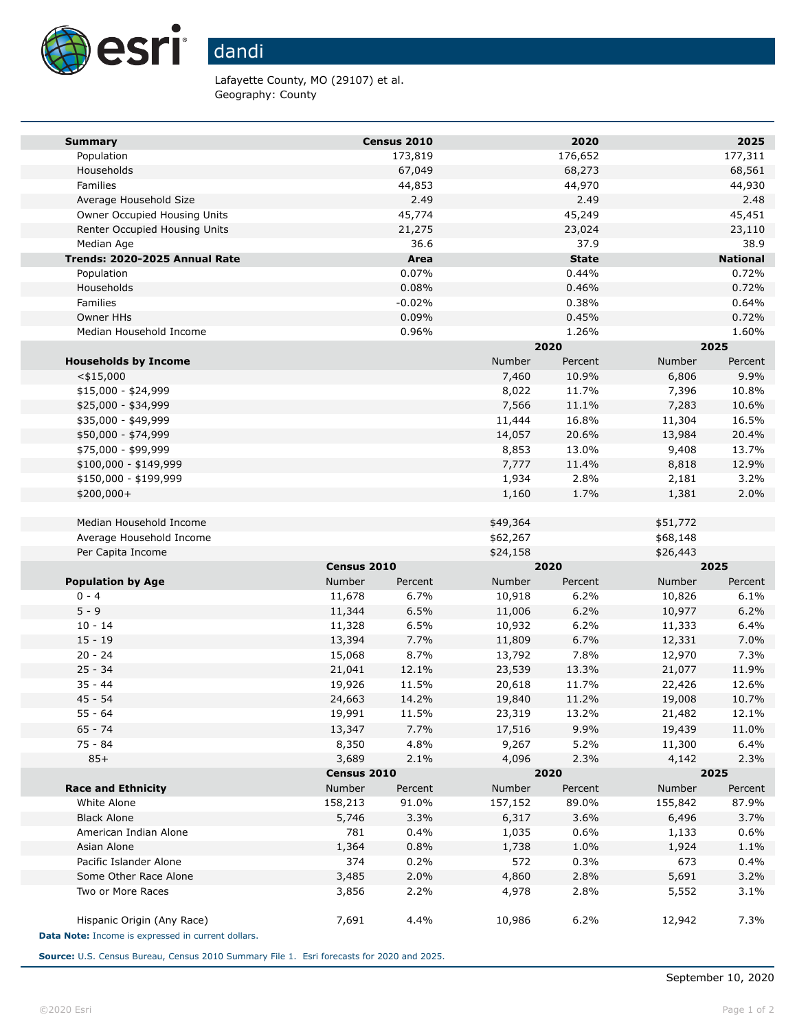

Lafayette County, MO (29107) et al. Geography: County

| <b>Summary</b>                                     |                          | Census 2010 |                 | 2020           |                 | 2025              |  |
|----------------------------------------------------|--------------------------|-------------|-----------------|----------------|-----------------|-------------------|--|
| Population                                         |                          | 173,819     |                 | 176,652        |                 | 177,311           |  |
| Households                                         |                          | 67,049      |                 | 68,273         |                 | 68,561            |  |
| Families                                           |                          | 44,853      |                 | 44,970         |                 | 44,930            |  |
| Average Household Size                             |                          | 2.49        |                 | 2.49           |                 | 2.48              |  |
| Owner Occupied Housing Units                       |                          | 45,774      |                 | 45,249         |                 | 45,451            |  |
| Renter Occupied Housing Units                      |                          | 21,275      |                 | 23,024         |                 | 23,110            |  |
| Median Age                                         |                          | 36.6        |                 | 37.9           |                 | 38.9              |  |
| Trends: 2020-2025 Annual Rate                      |                          | Area        |                 | <b>State</b>   |                 | <b>National</b>   |  |
| Population                                         |                          | 0.07%       |                 | 0.44%          |                 | 0.72%             |  |
| Households                                         |                          | 0.08%       |                 | 0.46%          |                 | 0.72%             |  |
| Families                                           |                          | $-0.02%$    |                 | 0.38%          |                 | 0.64%             |  |
| Owner HHs                                          |                          | 0.09%       |                 | 0.45%          |                 | 0.72%             |  |
| Median Household Income                            |                          | 0.96%       |                 | 1.26%          |                 | 1.60%             |  |
|                                                    |                          |             | 2020            |                | 2025            |                   |  |
| <b>Households by Income</b>                        |                          |             | Number          | Percent        | Number          | Percent           |  |
| $<$ \$15,000                                       |                          |             | 7,460           | 10.9%          | 6,806           | 9.9%              |  |
| $$15,000 - $24,999$                                |                          |             | 8,022           | 11.7%          | 7,396           | 10.8%             |  |
| \$25,000 - \$34,999                                |                          |             | 7,566           | 11.1%          | 7,283           | 10.6%             |  |
| \$35,000 - \$49,999                                |                          |             | 11,444          | 16.8%          | 11,304          | 16.5%             |  |
| \$50,000 - \$74,999<br>\$75,000 - \$99,999         |                          |             | 14,057<br>8,853 | 20.6%<br>13.0% | 13,984<br>9,408 | 20.4%<br>13.7%    |  |
| $$100,000 - $149,999$                              |                          |             | 7,777           | 11.4%          | 8,818           | 12.9%             |  |
| \$150,000 - \$199,999                              |                          |             |                 | 2.8%           |                 | 3.2%              |  |
| \$200,000+                                         |                          |             | 1,934<br>1,160  | 1.7%           | 2,181<br>1,381  | 2.0%              |  |
|                                                    |                          |             |                 |                |                 |                   |  |
| Median Household Income                            |                          |             | \$49,364        |                | \$51,772        |                   |  |
| Average Household Income                           |                          |             | \$62,267        |                | \$68,148        |                   |  |
| Per Capita Income                                  |                          |             | \$24,158        |                | \$26,443        |                   |  |
|                                                    | Census 2010              |             | 2020            |                | 2025            |                   |  |
| <b>Population by Age</b>                           | <b>Number</b><br>Percent |             | Number          | Percent        |                 | Number<br>Percent |  |
| $0 - 4$                                            | 11,678                   | 6.7%        | 10,918          | 6.2%           | 10,826          | 6.1%              |  |
| $5 - 9$                                            | 11,344                   | 6.5%        | 11,006          | 6.2%           | 10,977          | 6.2%              |  |
| $10 - 14$                                          | 11,328                   | 6.5%        | 10,932          | 6.2%           | 11,333          | 6.4%              |  |
| $15 - 19$                                          | 13,394                   | 7.7%        | 11,809          | 6.7%           | 12,331          | 7.0%              |  |
| $20 - 24$                                          | 15,068                   | 8.7%        | 13,792          | 7.8%           | 12,970          | 7.3%              |  |
| $25 - 34$                                          | 21,041                   | 12.1%       | 23,539          | 13.3%          | 21,077          | 11.9%             |  |
| $35 - 44$                                          | 19,926                   | 11.5%       | 20,618          | 11.7%          | 22,426          | 12.6%             |  |
| $45 - 54$                                          | 24,663                   | 14.2%       | 19,840          | 11.2%          | 19,008          | 10.7%             |  |
| $55 - 64$                                          | 19,991                   | 11.5%       | 23,319          | 13.2%          | 21,482          | 12.1%             |  |
| $65 - 74$                                          | 13,347                   | 7.7%        | 17,516          | 9.9%           | 19,439          | 11.0%             |  |
| 75 - 84                                            | 8,350                    | 4.8%        | 9,267           | 5.2%           | 11,300          | 6.4%              |  |
| $85+$                                              | 3,689                    | 2.1%        | 4,096           | 2.3%           | 4,142           | 2.3%              |  |
|                                                    | Census 2010              |             | 2020            |                | 2025            |                   |  |
| <b>Race and Ethnicity</b>                          | Number                   | Percent     | Number          | Percent        | Number          | Percent           |  |
| White Alone                                        | 158,213                  | 91.0%       | 157,152         | 89.0%          | 155,842         | 87.9%             |  |
| <b>Black Alone</b>                                 | 5,746                    | 3.3%        | 6,317           | 3.6%           | 6,496           | 3.7%              |  |
| American Indian Alone                              | 781                      | 0.4%        | 1,035           | 0.6%           | 1,133           | 0.6%              |  |
| Asian Alone                                        | 1,364                    | 0.8%        | 1,738           | 1.0%           | 1,924           | 1.1%              |  |
| Pacific Islander Alone                             | 374                      | 0.2%        | 572             | 0.3%           | 673             | 0.4%              |  |
| Some Other Race Alone                              | 3,485                    | 2.0%        | 4,860           | 2.8%           | 5,691           | 3.2%              |  |
| Two or More Races                                  | 3,856                    | 2.2%        | 4,978           | 2.8%           | 5,552           | 3.1%              |  |
| Hispanic Origin (Any Race)                         | 7,691                    | 4.4%        | 10,986          | 6.2%           | 12,942          | 7.3%              |  |
| Data Note: Income is expressed in current dollars. |                          |             |                 |                |                 |                   |  |

**Source:** U.S. Census Bureau, Census 2010 Summary File 1. Esri forecasts for 2020 and 2025.